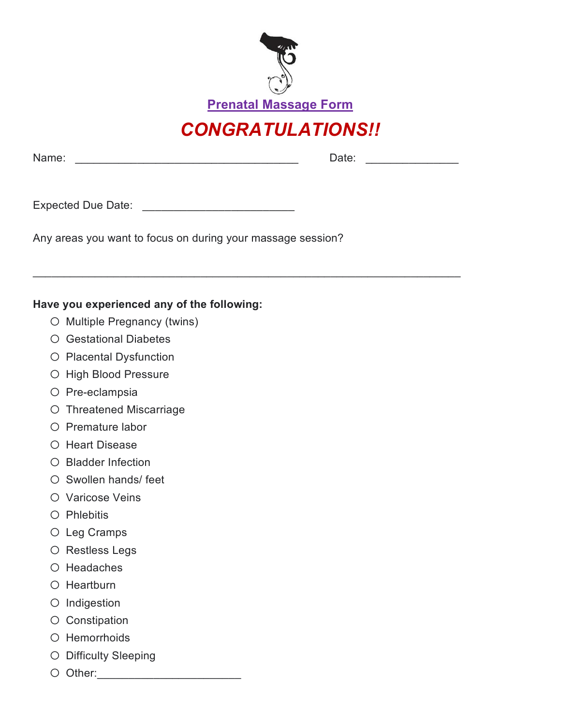

Prenatal Massage Form

## CONGRATULATIONS!!

\_\_\_\_\_\_\_\_\_\_\_\_\_\_\_\_\_\_\_\_\_\_\_\_\_\_\_\_\_\_\_\_\_\_\_\_\_\_\_\_\_\_\_\_\_\_\_\_\_\_\_\_\_\_\_\_\_\_\_\_\_\_\_\_\_\_\_\_\_

Name: \_\_\_\_\_\_\_\_\_\_\_\_\_\_\_\_\_\_\_\_\_\_\_\_\_\_\_\_\_\_\_\_\_\_\_\_ Date: \_\_\_\_\_\_\_\_\_\_\_\_\_\_\_

Expected Due Date: \_\_\_\_\_\_\_\_\_\_\_\_\_\_\_\_\_\_\_\_\_\_\_\_

Any areas you want to focus on during your massage session?

## Have you experienced any of the following:

- o Multiple Pregnancy (twins)
- o Gestational Diabetes
- o Placental Dysfunction
- o High Blood Pressure
- o Pre-eclampsia
- o Threatened Miscarriage
- o Premature labor
- o Heart Disease
- o Bladder Infection
- o Swollen hands/ feet
- O Varicose Veins
- o Phlebitis
- o Leg Cramps
- o Restless Legs
- o Headaches
- o Heartburn
- o Indigestion
- O Constipation
- o Hemorrhoids
- o Difficulty Sleeping
- o Other:\_\_\_\_\_\_\_\_\_\_\_\_\_\_\_\_\_\_\_\_\_\_\_